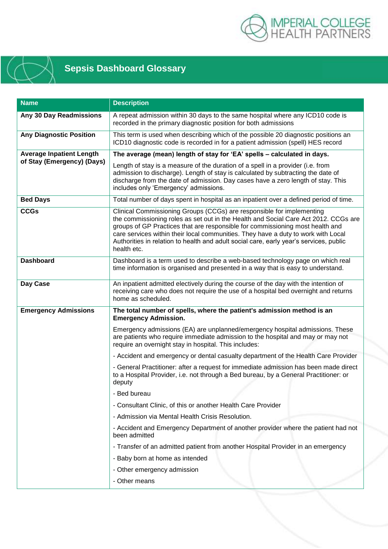



## **Sepsis Dashboard Glossary**

| <b>Name</b>                                                   | <b>Description</b>                                                                                                                                                                                                                                                                                                                                                                                                                          |
|---------------------------------------------------------------|---------------------------------------------------------------------------------------------------------------------------------------------------------------------------------------------------------------------------------------------------------------------------------------------------------------------------------------------------------------------------------------------------------------------------------------------|
| Any 30 Day Readmissions                                       | A repeat admission within 30 days to the same hospital where any ICD10 code is<br>recorded in the primary diagnostic position for both admissions                                                                                                                                                                                                                                                                                           |
| <b>Any Diagnostic Position</b>                                | This term is used when describing which of the possible 20 diagnostic positions an<br>ICD10 diagnostic code is recorded in for a patient admission (spell) HES record                                                                                                                                                                                                                                                                       |
| <b>Average Inpatient Length</b><br>of Stay (Emergency) (Days) | The average (mean) length of stay for 'EA' spells - calculated in days.                                                                                                                                                                                                                                                                                                                                                                     |
|                                                               | Length of stay is a measure of the duration of a spell in a provider (i.e. from<br>admission to discharge). Length of stay is calculated by subtracting the date of<br>discharge from the date of admission. Day cases have a zero length of stay. This<br>includes only 'Emergency' admissions.                                                                                                                                            |
| <b>Bed Days</b>                                               | Total number of days spent in hospital as an inpatient over a defined period of time.                                                                                                                                                                                                                                                                                                                                                       |
| <b>CCGs</b>                                                   | Clinical Commissioning Groups (CCGs) are responsible for implementing<br>the commissioning roles as set out in the Health and Social Care Act 2012. CCGs are<br>groups of GP Practices that are responsible for commissioning most health and<br>care services within their local communities. They have a duty to work with Local<br>Authorities in relation to health and adult social care, early year's services, public<br>health etc. |
| <b>Dashboard</b>                                              | Dashboard is a term used to describe a web-based technology page on which real<br>time information is organised and presented in a way that is easy to understand.                                                                                                                                                                                                                                                                          |
| Day Case                                                      | An inpatient admitted electively during the course of the day with the intention of<br>receiving care who does not require the use of a hospital bed overnight and returns<br>home as scheduled.                                                                                                                                                                                                                                            |
| <b>Emergency Admissions</b>                                   | The total number of spells, where the patient's admission method is an<br><b>Emergency Admission.</b>                                                                                                                                                                                                                                                                                                                                       |
|                                                               | Emergency admissions (EA) are unplanned/emergency hospital admissions. These<br>are patients who require immediate admission to the hospital and may or may not<br>require an overnight stay in hospital. This includes:                                                                                                                                                                                                                    |
|                                                               | - Accident and emergency or dental casualty department of the Health Care Provider                                                                                                                                                                                                                                                                                                                                                          |
|                                                               | - General Practitioner: after a request for immediate admission has been made direct<br>to a Hospital Provider, i.e. not through a Bed bureau, by a General Practitioner: or<br>deputy                                                                                                                                                                                                                                                      |
|                                                               | - Bed bureau                                                                                                                                                                                                                                                                                                                                                                                                                                |
|                                                               | - Consultant Clinic, of this or another Health Care Provider                                                                                                                                                                                                                                                                                                                                                                                |
|                                                               | - Admission via Mental Health Crisis Resolution.                                                                                                                                                                                                                                                                                                                                                                                            |
|                                                               | - Accident and Emergency Department of another provider where the patient had not<br>been admitted                                                                                                                                                                                                                                                                                                                                          |
|                                                               | - Transfer of an admitted patient from another Hospital Provider in an emergency                                                                                                                                                                                                                                                                                                                                                            |
|                                                               | - Baby born at home as intended                                                                                                                                                                                                                                                                                                                                                                                                             |
|                                                               | - Other emergency admission                                                                                                                                                                                                                                                                                                                                                                                                                 |
|                                                               | - Other means                                                                                                                                                                                                                                                                                                                                                                                                                               |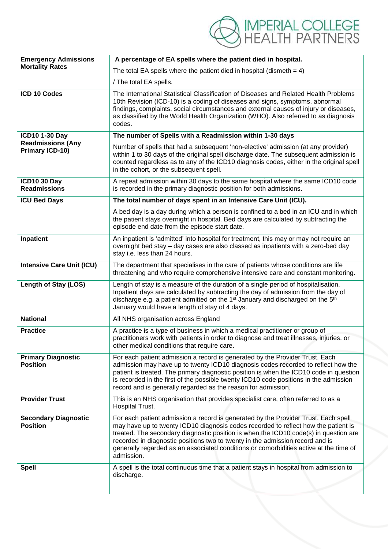IMPERIAL COLLEGE<br>HEALTH PARTNERS

| <b>Emergency Admissions</b><br><b>Mortality Rates</b> | A percentage of EA spells where the patient died in hospital.                                                                                                                                                                                                                                                                                                                                                                                            |
|-------------------------------------------------------|----------------------------------------------------------------------------------------------------------------------------------------------------------------------------------------------------------------------------------------------------------------------------------------------------------------------------------------------------------------------------------------------------------------------------------------------------------|
|                                                       | The total EA spells where the patient died in hospital (dismeth $= 4$ )                                                                                                                                                                                                                                                                                                                                                                                  |
|                                                       | / The total EA spells.                                                                                                                                                                                                                                                                                                                                                                                                                                   |
| ICD 10 Codes                                          | The International Statistical Classification of Diseases and Related Health Problems<br>10th Revision (ICD-10) is a coding of diseases and signs, symptoms, abnormal<br>findings, complaints, social circumstances and external causes of injury or diseases,<br>as classified by the World Health Organization (WHO). Also referred to as diagnosis<br>codes.                                                                                           |
| <b>ICD10 1-30 Day</b>                                 | The number of Spells with a Readmission within 1-30 days                                                                                                                                                                                                                                                                                                                                                                                                 |
| <b>Readmissions (Any</b><br>Primary ICD-10)           | Number of spells that had a subsequent 'non-elective' admission (at any provider)<br>within 1 to 30 days of the original spell discharge date. The subsequent admission is<br>counted regardless as to any of the ICD10 diagnosis codes, either in the original spell<br>in the cohort, or the subsequent spell.                                                                                                                                         |
| <b>ICD10 30 Day</b><br><b>Readmissions</b>            | A repeat admission within 30 days to the same hospital where the same ICD10 code<br>is recorded in the primary diagnostic position for both admissions.                                                                                                                                                                                                                                                                                                  |
| <b>ICU Bed Days</b>                                   | The total number of days spent in an Intensive Care Unit (ICU).                                                                                                                                                                                                                                                                                                                                                                                          |
|                                                       | A bed day is a day during which a person is confined to a bed in an ICU and in which<br>the patient stays overnight in hospital. Bed days are calculated by subtracting the<br>episode end date from the episode start date.                                                                                                                                                                                                                             |
| Inpatient                                             | An inpatient is 'admitted' into hospital for treatment, this may or may not require an<br>overnight bed stay - day cases are also classed as inpatients with a zero-bed day<br>stay i.e. less than 24 hours.                                                                                                                                                                                                                                             |
| <b>Intensive Care Unit (ICU)</b>                      | The department that specialises in the care of patients whose conditions are life<br>threatening and who require comprehensive intensive care and constant monitoring.                                                                                                                                                                                                                                                                                   |
| Length of Stay (LOS)                                  | Length of stay is a measure of the duration of a single period of hospitalisation.<br>Inpatient days are calculated by subtracting the day of admission from the day of<br>discharge e.g. a patient admitted on the 1 <sup>st</sup> January and discharged on the 5 <sup>th</sup><br>January would have a length of stay of 4 days.                                                                                                                      |
| <b>National</b>                                       | All NHS organisation across England                                                                                                                                                                                                                                                                                                                                                                                                                      |
| <b>Practice</b>                                       | A practice is a type of business in which a medical practitioner or group of<br>practitioners work with patients in order to diagnose and treat illnesses, injuries, or<br>other medical conditions that require care.                                                                                                                                                                                                                                   |
| <b>Primary Diagnostic</b><br><b>Position</b>          | For each patient admission a record is generated by the Provider Trust. Each<br>admission may have up to twenty ICD10 diagnosis codes recorded to reflect how the<br>patient is treated. The primary diagnostic position is when the ICD10 code in question<br>is recorded in the first of the possible twenty ICD10 code positions in the admission<br>record and is generally regarded as the reason for admission.                                    |
| <b>Provider Trust</b>                                 | This is an NHS organisation that provides specialist care, often referred to as a<br>Hospital Trust.                                                                                                                                                                                                                                                                                                                                                     |
| <b>Secondary Diagnostic</b><br><b>Position</b>        | For each patient admission a record is generated by the Provider Trust. Each spell<br>may have up to twenty ICD10 diagnosis codes recorded to reflect how the patient is<br>treated. The secondary diagnostic position is when the ICD10 code(s) in question are<br>recorded in diagnostic positions two to twenty in the admission record and is<br>generally regarded as an associated conditions or comorbidities active at the time of<br>admission. |
| <b>Spell</b>                                          | A spell is the total continuous time that a patient stays in hospital from admission to<br>discharge.                                                                                                                                                                                                                                                                                                                                                    |